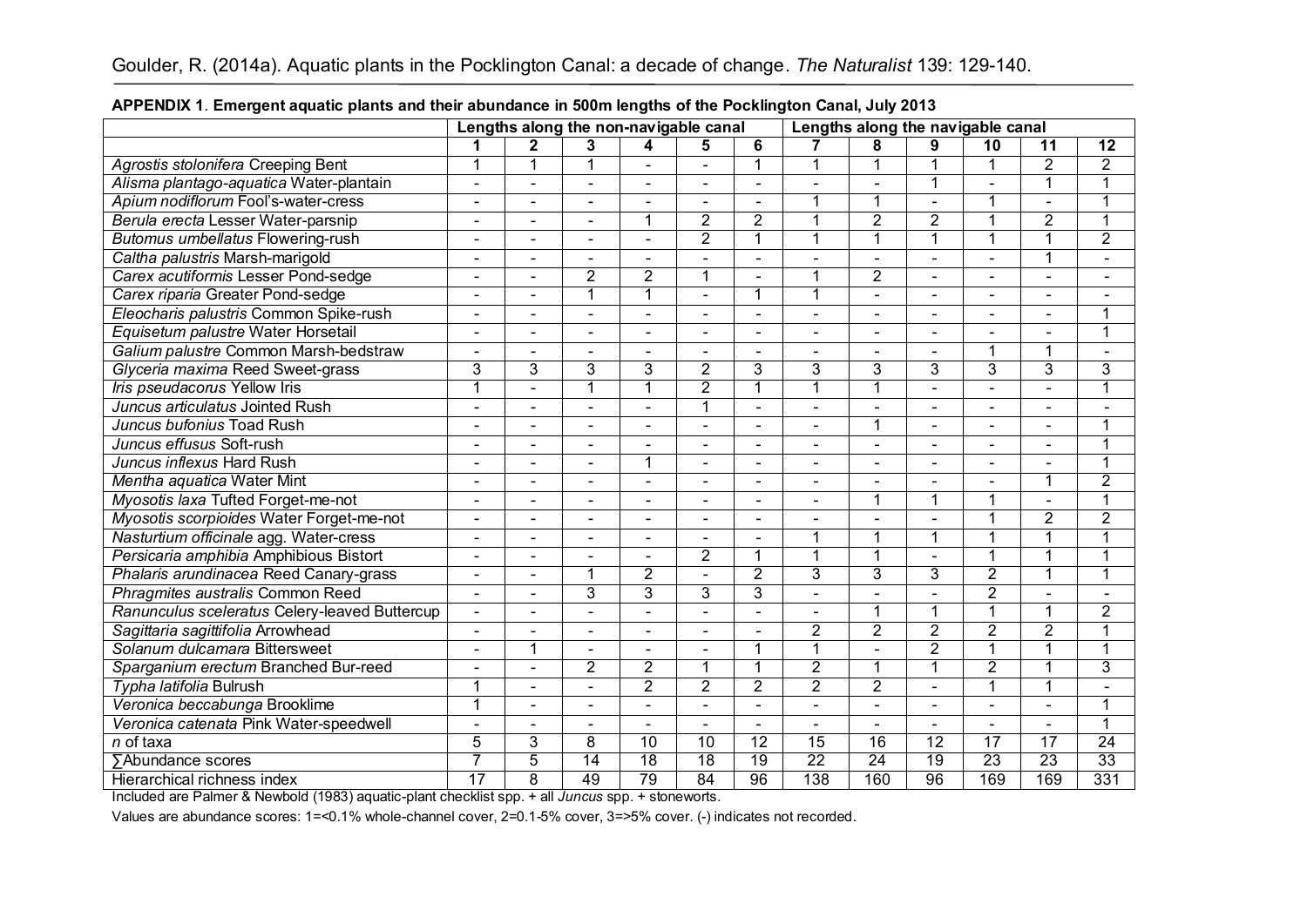|                                               | Lengths along the non-navigable canal |                |                       |                 |                 | Lengths along the navigable canal |                 |                          |                |                 |                 |                          |
|-----------------------------------------------|---------------------------------------|----------------|-----------------------|-----------------|-----------------|-----------------------------------|-----------------|--------------------------|----------------|-----------------|-----------------|--------------------------|
|                                               |                                       | 2              | 3                     | 4               | 5               | 6                                 |                 | 8                        | 9              | 10              | 11              | $\overline{12}$          |
| Agrostis stolonifera Creeping Bent            | 1                                     | 1              |                       |                 |                 | 1                                 | 1               | 1                        | 1              | 1               | $\overline{2}$  | $\overline{2}$           |
| Alisma plantago-aquatica Water-plantain       | $\blacksquare$                        |                |                       |                 |                 |                                   | $\blacksquare$  | $\blacksquare$           | 1              | ä,              | 1               | 1                        |
| Apium nodiflorum Fool's-water-cress           | $\blacksquare$                        |                | $\blacksquare$        | $\blacksquare$  | ä,              | $\blacksquare$                    | 1               | $\mathbf{1}$             | $\overline{a}$ |                 | L.              |                          |
| Berula erecta Lesser Water-parsnip            | $\blacksquare$                        |                | $\blacksquare$        | 1               | $\overline{2}$  | $\overline{2}$                    | 1               | $\overline{2}$           | $\overline{2}$ | 1               | $\overline{2}$  |                          |
| Butomus umbellatus Flowering-rush             | $\blacksquare$                        | $\blacksquare$ | $\blacksquare$        | L.              | $\overline{2}$  | $\overline{1}$                    | $\overline{1}$  | $\overline{1}$           | $\overline{1}$ | $\mathbf{1}$    | $\overline{1}$  | $\overline{2}$           |
| Caltha palustris Marsh-marigold               | $\blacksquare$                        | $\blacksquare$ | $\blacksquare$        | $\blacksquare$  | ۰               | $\blacksquare$                    | $\blacksquare$  | $\blacksquare$           | $\blacksquare$ | $\blacksquare$  | 1               |                          |
| Carex acutiformis Lesser Pond-sedge           | $\blacksquare$                        | $\blacksquare$ | $\overline{2}$        | $\overline{2}$  | 1               | $\blacksquare$                    | 1               | $\overline{2}$           | $\blacksquare$ | $\blacksquare$  | $\blacksquare$  |                          |
| Carex riparia Greater Pond-sedge              | $\blacksquare$                        | $\blacksquare$ | 1                     | 1               | $\blacksquare$  | 1                                 | $\overline{1}$  | $\blacksquare$           | $\overline{a}$ | $\overline{a}$  | $\overline{a}$  |                          |
| Eleocharis palustris Common Spike-rush        | $\blacksquare$                        |                | $\overline{a}$        | $\overline{a}$  |                 | $\overline{a}$                    | $\overline{a}$  | $\blacksquare$           | $\overline{a}$ | $\blacksquare$  | $\overline{a}$  | 1                        |
| Equisetum palustre Water Horsetail            | ÷,                                    |                |                       | $\blacksquare$  |                 | $\blacksquare$                    | $\blacksquare$  | $\blacksquare$           | $\blacksquare$ | $\blacksquare$  |                 | 1                        |
| Galium palustre Common Marsh-bedstraw         |                                       |                | $\blacksquare$        | $\blacksquare$  |                 | $\blacksquare$                    |                 | $\overline{\phantom{a}}$ |                | $\mathbf 1$     | 1               |                          |
| Glyceria maxima Reed Sweet-grass              | 3                                     | 3              | 3                     | 3               | $\overline{2}$  | 3                                 | 3               | 3                        | 3              | $\overline{3}$  | $\overline{3}$  | 3                        |
| Iris pseudacorus Yellow Iris                  | $\mathbf 1$                           |                |                       | 1               | $\overline{2}$  | 1                                 | 1               | $\overline{1}$           |                | $\blacksquare$  |                 |                          |
| Juncus articulatus Jointed Rush               | $\blacksquare$                        |                |                       |                 | 1               |                                   | $\blacksquare$  | $\blacksquare$           | $\blacksquare$ | $\blacksquare$  | $\blacksquare$  |                          |
| Juncus bufonius Toad Rush                     | $\blacksquare$                        |                |                       |                 | $\overline{a}$  | $\blacksquare$                    | $\blacksquare$  | 1                        | $\blacksquare$ | $\blacksquare$  |                 |                          |
| Juncus effusus Soft-rush                      | $\blacksquare$                        | $\blacksquare$ | $\blacksquare$        | $\blacksquare$  | $\blacksquare$  | $\blacksquare$                    | $\blacksquare$  | $\blacksquare$           | $\blacksquare$ | $\blacksquare$  | $\blacksquare$  |                          |
| Juncus inflexus Hard Rush                     | $\blacksquare$                        | $\blacksquare$ | $\sim$                | 1               | $\blacksquare$  | $\blacksquare$                    | $\blacksquare$  | $\blacksquare$           | $\blacksquare$ | $\blacksquare$  | ä,              | 1                        |
| Mentha aquatica Water Mint                    | $\blacksquare$                        |                | $\overline{a}$        | $\blacksquare$  | $\overline{a}$  | $\blacksquare$                    | $\blacksquare$  | $\blacksquare$           | $\blacksquare$ | ä,              | 1               | $\overline{2}$           |
| Myosotis laxa Tufted Forget-me-not            | $\blacksquare$                        |                |                       |                 |                 | $\blacksquare$                    | $\blacksquare$  | 1                        | 1              | 1               | $\blacksquare$  | 1                        |
| Myosotis scorpioides Water Forget-me-not      | $\blacksquare$                        |                |                       |                 |                 |                                   | ۳               | $\blacksquare$           | $\blacksquare$ | 1               | $\overline{2}$  | $\overline{2}$           |
| Nasturtium officinale agg. Water-cress        | $\blacksquare$                        |                | $\blacksquare$        | $\blacksquare$  |                 | $\blacksquare$                    | 1               | $\mathbf{1}$             | $\mathbf{1}$   | 1               | 1               |                          |
| Persicaria amphibia Amphibious Bistort        | $\blacksquare$                        | $\blacksquare$ | ÷,                    | ä,              | $\overline{2}$  | $\overline{1}$                    | $\overline{1}$  | $\mathbf 1$              | $\overline{a}$ | $\overline{1}$  | 1               | $\overline{\phantom{a}}$ |
| Phalaris arundinacea Reed Canary-grass        | $\blacksquare$                        | $\blacksquare$ | 1                     | $\overline{2}$  | ÷.              | $\overline{2}$                    | $\overline{3}$  | 3                        | 3              | $\overline{2}$  | $\overline{1}$  | 1                        |
| Phragmites australis Common Reed              | $\blacksquare$                        | $\blacksquare$ | 3                     | 3               | 3               | 3                                 | $\blacksquare$  | $\blacksquare$           | ÷.             | $\overline{2}$  | $\blacksquare$  |                          |
| Ranunculus sceleratus Celery-leaved Buttercup | $\blacksquare$                        | $\blacksquare$ | $\blacksquare$        |                 |                 | $\blacksquare$                    | ÷.              | $\overline{1}$           | 1              | 1               | 1               | $\overline{2}$           |
| Sagittaria sagittifolia Arrowhead             | $\sim$                                | $\blacksquare$ | $\tilde{\phantom{a}}$ | $\blacksquare$  | $\blacksquare$  | $\blacksquare$                    | $\overline{2}$  | $\overline{2}$           | $\overline{2}$ | $\overline{2}$  | $\overline{2}$  |                          |
| Solanum dulcamara Bittersweet                 | ÷.                                    | 1              | $\overline{a}$        | $\overline{a}$  |                 | 1                                 | 1               | $\blacksquare$           | $\overline{2}$ | $\overline{1}$  | $\overline{1}$  | 1                        |
| Sparganium erectum Branched Bur-reed          | $\overline{\phantom{0}}$              | $\equiv$       | $\overline{2}$        | $\overline{2}$  | 1               | 1                                 | $\overline{2}$  | $\mathbf{1}$             | $\overline{1}$ | $\overline{2}$  | 1               | $\overline{3}$           |
| Typha latifolia Bulrush                       | $\mathbf 1$                           |                | $\blacksquare$        | $\overline{2}$  | $\overline{2}$  | $\overline{2}$                    | $\overline{2}$  | $\overline{2}$           | $\blacksquare$ | 1               | 1               |                          |
| Veronica beccabunga Brooklime                 | 1                                     |                |                       |                 |                 |                                   |                 | $\overline{a}$           |                | $\blacksquare$  | ä,              |                          |
| Veronica catenata Pink Water-speedwell        |                                       |                |                       |                 |                 |                                   |                 | $\blacksquare$           |                | $\blacksquare$  |                 |                          |
| $n$ of taxa                                   | 5                                     | 3              | $\overline{8}$        | $\overline{10}$ | $\overline{10}$ | 12                                | 15              | 16                       | 12             | $\overline{17}$ | $\overline{17}$ | $\overline{24}$          |
| <b>∑Abundance scores</b>                      | 7                                     | $\overline{5}$ | 14                    | $\overline{18}$ | 18              | 19                                | $\overline{22}$ | $\overline{24}$          | 19             | $\overline{23}$ | 23              | 33                       |
| Hierarchical richness index                   | 17                                    | $\overline{8}$ | 49                    | 79              | 84              | 96                                | 138             | 160                      | 96             | 169             | 169             | 331                      |

## **APPENDIX 1**. **Emergent aquatic plants and their abundance in 500m lengths of the Pocklington Canal, July 2013**

Included are Palmer & Newbold (1983) aquatic-plant checklist spp. + all *Juncus* spp. + stoneworts.

Values are abundance scores: 1=<0.1% whole-channel cover, 2=0.1-5% cover, 3=>5% cover. (-) indicates not recorded.